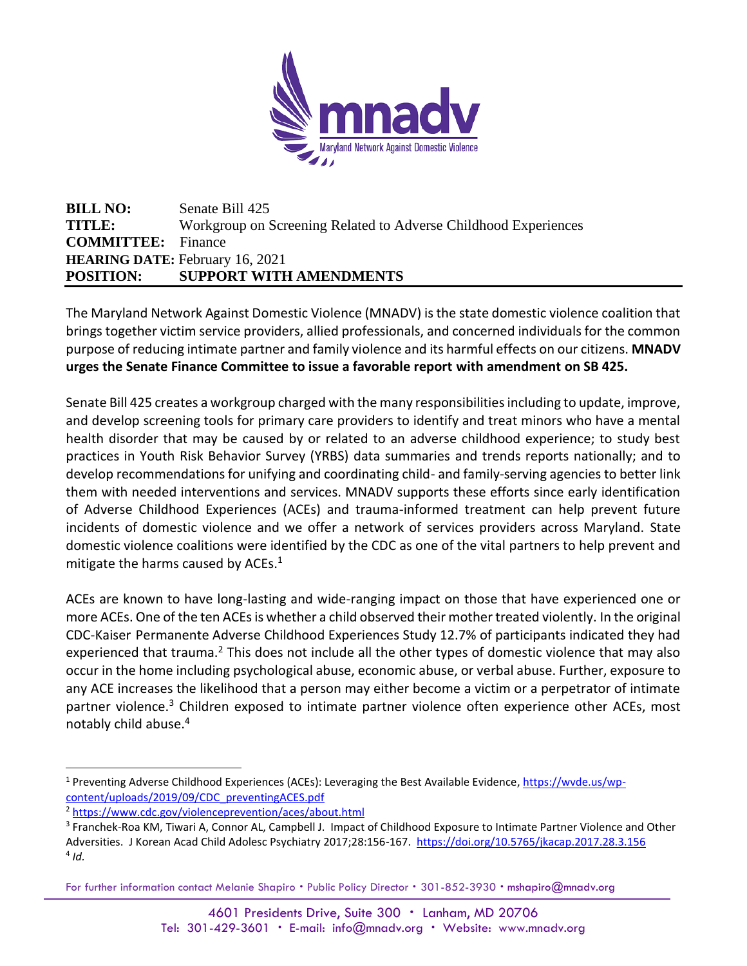

**BILL NO:** Senate Bill 425 **TITLE:** Workgroup on Screening Related to Adverse Childhood Experiences **COMMITTEE:** Finance **HEARING DATE:** February 16, 2021 **POSITION: SUPPORT WITH AMENDMENTS**

The Maryland Network Against Domestic Violence (MNADV) is the state domestic violence coalition that brings together victim service providers, allied professionals, and concerned individuals for the common purpose of reducing intimate partner and family violence and its harmful effects on our citizens. **MNADV urges the Senate Finance Committee to issue a favorable report with amendment on SB 425.** 

Senate Bill 425 creates a workgroup charged with the many responsibilities including to update, improve, and develop screening tools for primary care providers to identify and treat minors who have a mental health disorder that may be caused by or related to an adverse childhood experience; to study best practices in Youth Risk Behavior Survey (YRBS) data summaries and trends reports nationally; and to develop recommendations for unifying and coordinating child- and family-serving agencies to better link them with needed interventions and services. MNADV supports these efforts since early identification of Adverse Childhood Experiences (ACEs) and trauma-informed treatment can help prevent future incidents of domestic violence and we offer a network of services providers across Maryland. State domestic violence coalitions were identified by the CDC as one of the vital partners to help prevent and mitigate the harms caused by ACEs.<sup>1</sup>

ACEs are known to have long-lasting and wide-ranging impact on those that have experienced one or more ACEs. One of the ten ACEs is whether a child observed their mother treated violently. In the original CDC-Kaiser Permanente Adverse Childhood Experiences Study 12.7% of participants indicated they had experienced that trauma.<sup>2</sup> This does not include all the other types of domestic violence that may also occur in the home including psychological abuse, economic abuse, or verbal abuse. Further, exposure to any ACE increases the likelihood that a person may either become a victim or a perpetrator of intimate partner violence.<sup>3</sup> Children exposed to intimate partner violence often experience other ACEs, most notably child abuse.<sup>4</sup>

For further information contact Melanie Shapiro . Public Policy Director . 301-852-3930 . mshapiro@mnadv.org

<sup>1</sup> Preventing Adverse Childhood Experiences (ACEs): Leveraging the Best Available Evidence, [https://wvde.us/wp](https://wvde.us/wp-content/uploads/2019/09/CDC_preventingACES.pdf)[content/uploads/2019/09/CDC\\_preventingACES.pdf](https://wvde.us/wp-content/uploads/2019/09/CDC_preventingACES.pdf)

<sup>2</sup> <https://www.cdc.gov/violenceprevention/aces/about.html>

<sup>&</sup>lt;sup>3</sup> Franchek-Roa KM, Tiwari A, Connor AL, Campbell J. Impact of Childhood Exposure to Intimate Partner Violence and Other Adversities. J Korean Acad Child Adolesc Psychiatry 2017;28:156-167.<https://doi.org/10.5765/jkacap.2017.28.3.156> 4 *Id.*